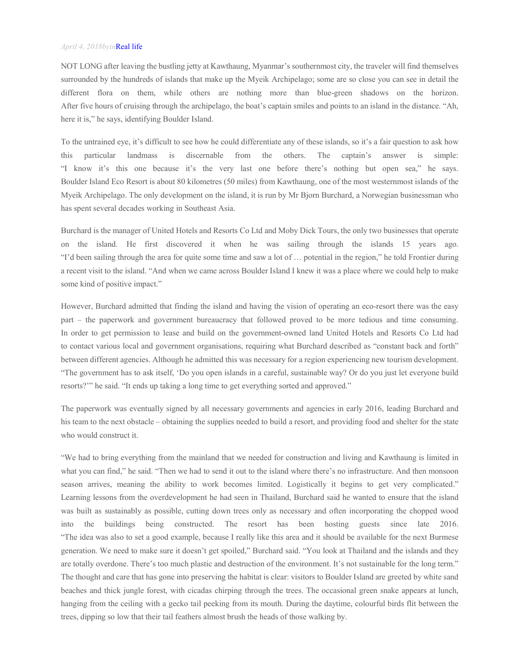## *April 4, 2018byin*Real life

NOT LONG after leaving the bustling jetty at Kawthaung, Myanmar's southernmost city, the traveler will find themselves surrounded by the hundreds of islands that make up the Myeik Archipelago; some are so close you can see in detail the different flora on them, while others are nothing more than blue-green shadows on the horizon. After five hours of cruising through the archipelago, the boat's captain smiles and points to an island in the distance. "Ah, here it is," he says, identifying Boulder Island.

To the untrained eye, it's difficult to see how he could differentiate any of these islands, so it's a fair question to ask how this particular landmass is discernable from the others. The captain's answer is simple: "I know it's this one because it's the very last one before there's nothing but open sea," he says. Boulder Island Eco Resort is about 80 kilometres (50 miles) from Kawthaung, one of the most westernmost islands of the Myeik Archipelago. The only development on the island, it is run by Mr Bjorn Burchard, a Norwegian businessman who has spent several decades working in Southeast Asia.

Burchard is the manager of United Hotels and Resorts Co Ltd and Moby Dick Tours, the only two businesses that operate on the island. He first discovered it when he was sailing through the islands 15 years ago. "I'd been sailing through the area for quite some time and saw a lot of … potential in the region," he told Frontier during a recent visit to the island. "And when we came across Boulder Island I knew it was a place where we could help to make some kind of positive impact."

However, Burchard admitted that finding the island and having the vision of operating an eco-resort there was the easy part – the paperwork and government bureaucracy that followed proved to be more tedious and time consuming. In order to get permission to lease and build on the government-owned land United Hotels and Resorts Co Ltd had to contact various local and government organisations, requiring what Burchard described as "constant back and forth" between different agencies. Although he admitted this was necessary for a region experiencing new tourism development. "The government has to ask itself, 'Do you open islands in a careful, sustainable way? Or do you just let everyone build resorts?'" he said. "It ends up taking a long time to get everything sorted and approved."

The paperwork was eventually signed by all necessary governments and agencies in early 2016, leading Burchard and his team to the next obstacle – obtaining the supplies needed to build a resort, and providing food and shelter for the state who would construct it.

"We had to bring everything from the mainland that we needed for construction and living and Kawthaung is limited in what you can find," he said. "Then we had to send it out to the island where there's no infrastructure. And then monsoon season arrives, meaning the ability to work becomes limited. Logistically it begins to get very complicated." Learning lessons from the overdevelopment he had seen in Thailand, Burchard said he wanted to ensure that the island was built as sustainably as possible, cutting down trees only as necessary and often incorporating the chopped wood into the buildings being constructed. The resort has been hosting guests since late 2016. "The idea was also to set a good example, because I really like this area and it should be available for the next Burmese generation. We need to make sure it doesn't get spoiled," Burchard said. "You look at Thailand and the islands and they are totally overdone. There's too much plastic and destruction of the environment. It's not sustainable for the long term." The thought and care that has gone into preserving the habitat is clear: visitors to Boulder Island are greeted by white sand beaches and thick jungle forest, with cicadas chirping through the trees. The occasional green snake appears at lunch, hanging from the ceiling with a gecko tail peeking from its mouth. During the daytime, colourful birds flit between the trees, dipping so low that their tail feathers almost brush the heads of those walking by.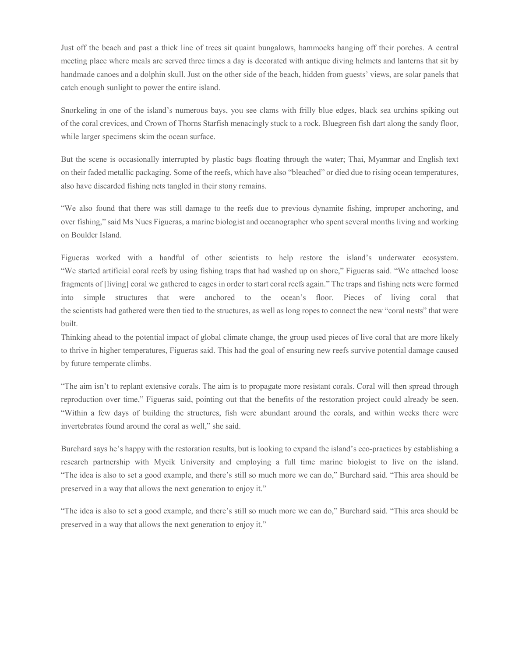Just off the beach and past a thick line of trees sit quaint bungalows, hammocks hanging off their porches. A central meeting place where meals are served three times a day is decorated with antique diving helmets and lanterns that sit by handmade canoes and a dolphin skull. Just on the other side of the beach, hidden from guests' views, are solar panels that catch enough sunlight to power the entire island.

Snorkeling in one of the island's numerous bays, you see clams with frilly blue edges, black sea urchins spiking out of the coral crevices, and Crown of Thorns Starfish menacingly stuck to a rock. Bluegreen fish dart along the sandy floor, while larger specimens skim the ocean surface.

But the scene is occasionally interrupted by plastic bags floating through the water; Thai, Myanmar and English text on their faded metallic packaging. Some of the reefs, which have also "bleached" or died due to rising ocean temperatures, also have discarded fishing nets tangled in their stony remains.

"We also found that there was still damage to the reefs due to previous dynamite fishing, improper anchoring, and over fishing," said Ms Nues Figueras, a marine biologist and oceanographer who spent several months living and working on Boulder Island.

Figueras worked with a handful of other scientists to help restore the island's underwater ecosystem. "We started artificial coral reefs by using fishing traps that had washed up on shore," Figueras said. "We attached loose fragments of [living] coral we gathered to cages in order to start coral reefs again." The traps and fishing nets were formed into simple structures that were anchored to the ocean's floor. Pieces of living coral that the scientists had gathered were then tied to the structures, as well as long ropes to connect the new "coral nests" that were built.

Thinking ahead to the potential impact of global climate change, the group used pieces of live coral that are more likely to thrive in higher temperatures, Figueras said. This had the goal of ensuring new reefs survive potential damage caused by future temperate climbs.

"The aim isn't to replant extensive corals. The aim is to propagate more resistant corals. Coral will then spread through reproduction over time," Figueras said, pointing out that the benefits of the restoration project could already be seen. "Within a few days of building the structures, fish were abundant around the corals, and within weeks there were invertebrates found around the coral as well," she said.

Burchard says he's happy with the restoration results, but is looking to expand the island's eco-practices by establishing a research partnership with Myeik University and employing a full time marine biologist to live on the island. "The idea is also to set a good example, and there's still so much more we can do," Burchard said. "This area should be preserved in a way that allows the next generation to enjoy it."

"The idea is also to set a good example, and there's still so much more we can do," Burchard said. "This area should be preserved in a way that allows the next generation to enjoy it."